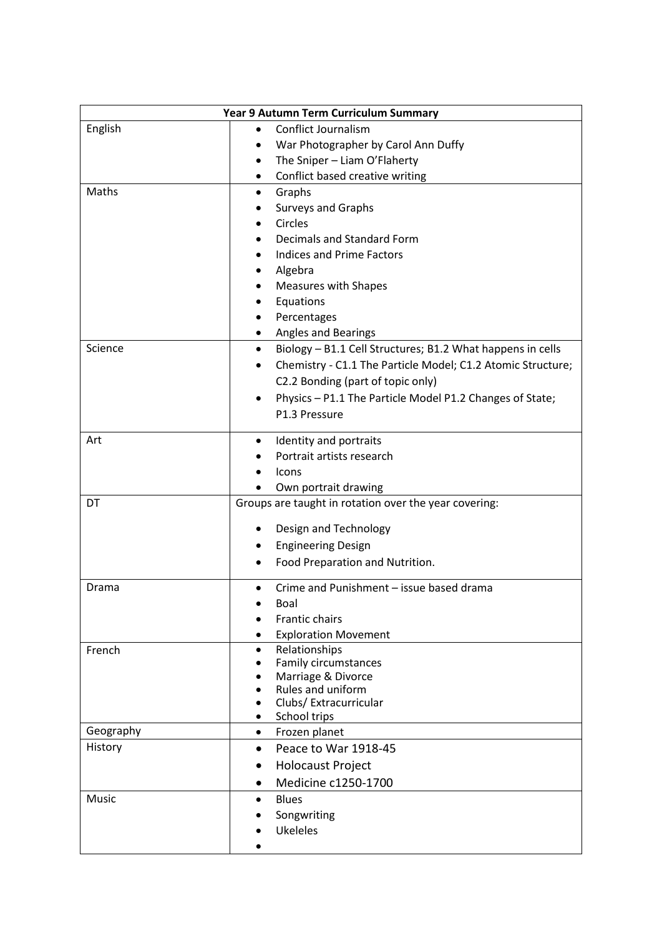| Year 9 Autumn Term Curriculum Summary |                                                                         |
|---------------------------------------|-------------------------------------------------------------------------|
| English                               | <b>Conflict Journalism</b><br>$\bullet$                                 |
|                                       | War Photographer by Carol Ann Duffy<br>$\bullet$                        |
|                                       | The Sniper - Liam O'Flaherty<br>٠                                       |
|                                       | Conflict based creative writing<br>٠                                    |
| Maths                                 | Graphs                                                                  |
|                                       | <b>Surveys and Graphs</b>                                               |
|                                       | Circles                                                                 |
|                                       | Decimals and Standard Form                                              |
|                                       | <b>Indices and Prime Factors</b>                                        |
|                                       | Algebra                                                                 |
|                                       | <b>Measures with Shapes</b>                                             |
|                                       | Equations                                                               |
|                                       | Percentages                                                             |
|                                       | Angles and Bearings<br>٠                                                |
| Science                               | Biology - B1.1 Cell Structures; B1.2 What happens in cells<br>$\bullet$ |
|                                       | Chemistry - C1.1 The Particle Model; C1.2 Atomic Structure;             |
|                                       | C2.2 Bonding (part of topic only)                                       |
|                                       | Physics - P1.1 The Particle Model P1.2 Changes of State;<br>$\bullet$   |
|                                       | P1.3 Pressure                                                           |
| Art                                   | Identity and portraits<br>$\bullet$                                     |
|                                       | Portrait artists research                                               |
|                                       | Icons                                                                   |
|                                       | Own portrait drawing                                                    |
| DT                                    | Groups are taught in rotation over the year covering:                   |
|                                       | Design and Technology                                                   |
|                                       | <b>Engineering Design</b>                                               |
|                                       | Food Preparation and Nutrition.                                         |
|                                       |                                                                         |
| Drama                                 | Crime and Punishment - issue based drama<br>$\bullet$                   |
|                                       | Boal                                                                    |
|                                       | Frantic chairs                                                          |
|                                       | <b>Exploration Movement</b><br>٠                                        |
| French                                | Relationships<br>$\bullet$                                              |
|                                       | <b>Family circumstances</b><br>Marriage & Divorce                       |
|                                       | Rules and uniform                                                       |
|                                       | Clubs/ Extracurricular                                                  |
|                                       | School trips<br>$\bullet$                                               |
| Geography                             | Frozen planet<br>$\bullet$                                              |
| History                               | Peace to War 1918-45<br>$\bullet$                                       |
|                                       | <b>Holocaust Project</b>                                                |
|                                       | Medicine c1250-1700<br>$\bullet$                                        |
| Music                                 | <b>Blues</b><br>$\bullet$                                               |
|                                       | Songwriting                                                             |
|                                       | <b>Ukeleles</b>                                                         |
|                                       |                                                                         |